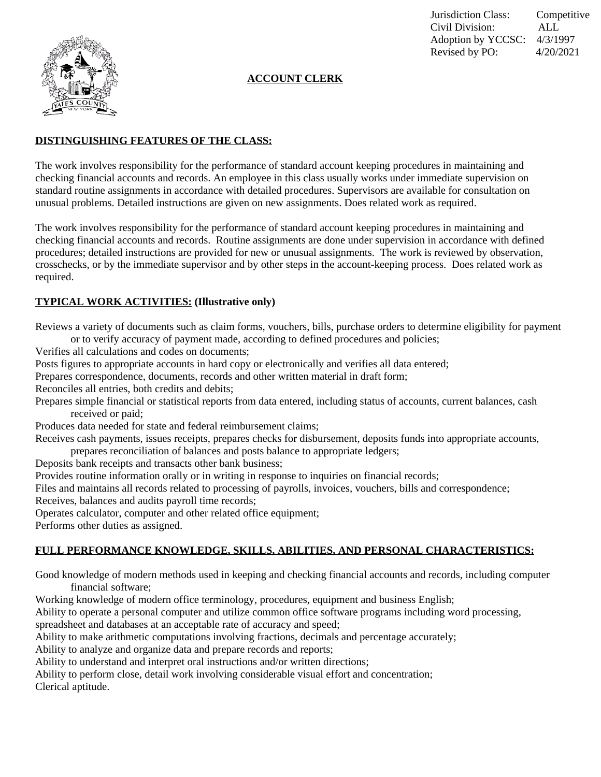

Jurisdiction Class: Competitive Civil Division: ALL Adoption by YCCSC: 4/3/1997 Revised by PO: 4/20/2021

# **ACCOUNT CLERK**

# **DISTINGUISHING FEATURES OF THE CLASS:**

The work involves responsibility for the performance of standard account keeping procedures in maintaining and checking financial accounts and records. An employee in this class usually works under immediate supervision on standard routine assignments in accordance with detailed procedures. Supervisors are available for consultation on unusual problems. Detailed instructions are given on new assignments. Does related work as required.

The work involves responsibility for the performance of standard account keeping procedures in maintaining and checking financial accounts and records. Routine assignments are done under supervision in accordance with defined procedures; detailed instructions are provided for new or unusual assignments. The work is reviewed by observation, crosschecks, or by the immediate supervisor and by other steps in the account-keeping process. Does related work as required.

#### **TYPICAL WORK ACTIVITIES: (Illustrative only)**

Reviews a variety of documents such as claim forms, vouchers, bills, purchase orders to determine eligibility for payment or to verify accuracy of payment made, according to defined procedures and policies;

Verifies all calculations and codes on documents;

Posts figures to appropriate accounts in hard copy or electronically and verifies all data entered;

Prepares correspondence, documents, records and other written material in draft form;

Reconciles all entries, both credits and debits;

Prepares simple financial or statistical reports from data entered, including status of accounts, current balances, cash received or paid;

Produces data needed for state and federal reimbursement claims;

Receives cash payments, issues receipts, prepares checks for disbursement, deposits funds into appropriate accounts, prepares reconciliation of balances and posts balance to appropriate ledgers;

Deposits bank receipts and transacts other bank business;

Provides routine information orally or in writing in response to inquiries on financial records;

Files and maintains all records related to processing of payrolls, invoices, vouchers, bills and correspondence;

Receives, balances and audits payroll time records;

Operates calculator, computer and other related office equipment;

Performs other duties as assigned.

## **FULL PERFORMANCE KNOWLEDGE, SKILLS, ABILITIES, AND PERSONAL CHARACTERISTICS:**

Good knowledge of modern methods used in keeping and checking financial accounts and records, including computer financial software;

Working knowledge of modern office terminology, procedures, equipment and business English;

Ability to operate a personal computer and utilize common office software programs including word processing,

spreadsheet and databases at an acceptable rate of accuracy and speed;

Ability to make arithmetic computations involving fractions, decimals and percentage accurately;

Ability to analyze and organize data and prepare records and reports;

Ability to understand and interpret oral instructions and/or written directions;

Ability to perform close, detail work involving considerable visual effort and concentration;

Clerical aptitude.